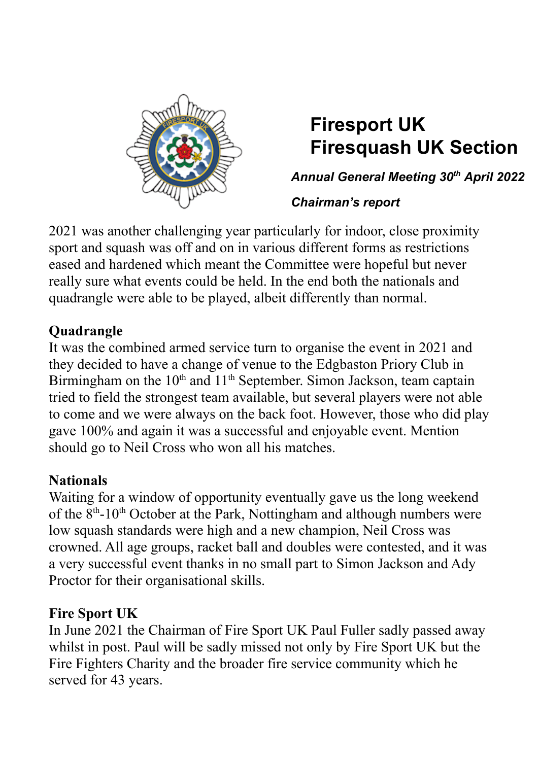

# **Firesport UK Firesquash UK Section**

*Annual General Meeting 30 th April 2022*

### *Chairman's report*

2021 was another challenging year particularly for indoor, close proximity sport and squash was off and on in various different forms as restrictions eased and hardened which meant the Committee were hopeful but never really sure what events could be held. In the end both the nationals and quadrangle were able to be played, albeit differently than normal.

## **Quadrangle**

It was the combined armed service turn to organise the event in 2021 and they decided to have a change of venue to the Edgbaston Priory Club in Birmingham on the 10<sup>th</sup> and 11<sup>th</sup> September. Simon Jackson, team captain tried to field the strongest team available, but several players were not able to come and we were always on the back foot. However, those who did play gave 100% and again it was a successful and enjoyable event. Mention should go to Neil Cross who won all his matches.

## **Nationals**

Waiting for a window of opportunity eventually gave us the long weekend of the  $8<sup>th</sup>$ -10<sup>th</sup> October at the Park, Nottingham and although numbers were low squash standards were high and a new champion, Neil Cross was crowned. All age groups, racket ball and doubles were contested, and it was a very successful event thanks in no small part to Simon Jackson and Ady Proctor for their organisational skills.

## **Fire Sport UK**

In June 2021 the Chairman of Fire Sport UK Paul Fuller sadly passed away whilst in post. Paul will be sadly missed not only by Fire Sport UK but the Fire Fighters Charity and the broader fire service community which he served for 43 years.